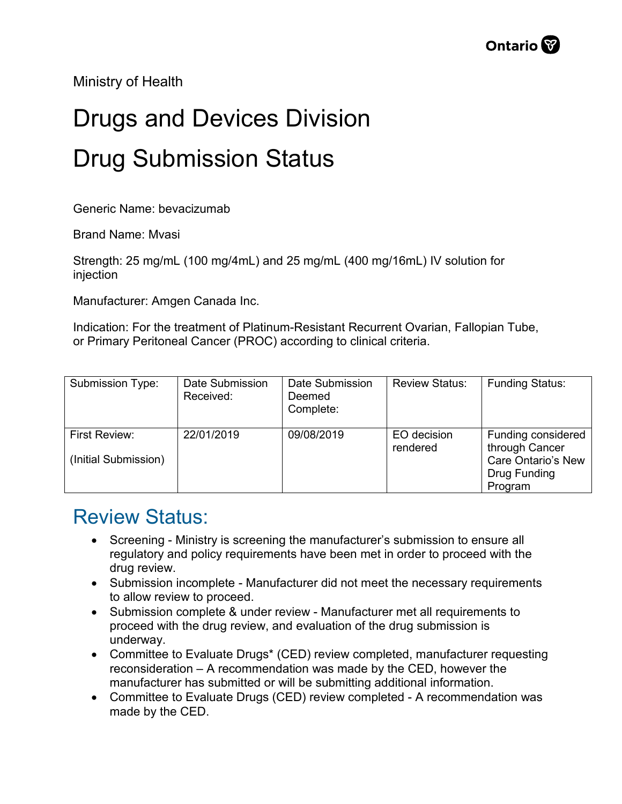Ministry of Health

## Drugs and Devices Division Drug Submission Status

Generic Name: bevacizumab

Brand Name: Mvasi

Strength: 25 mg/mL (100 mg/4mL) and 25 mg/mL (400 mg/16mL) IV solution for injection

Manufacturer: Amgen Canada Inc.

Indication: For the treatment of Platinum-Resistant Recurrent Ovarian, Fallopian Tube, or Primary Peritoneal Cancer (PROC) according to clinical criteria.

| Submission Type:                      | Date Submission<br>Received: | Date Submission<br>Deemed<br>Complete: | <b>Review Status:</b>   | <b>Funding Status:</b>                                                                       |
|---------------------------------------|------------------------------|----------------------------------------|-------------------------|----------------------------------------------------------------------------------------------|
| First Review:<br>(Initial Submission) | 22/01/2019                   | 09/08/2019                             | EO decision<br>rendered | Funding considered<br>through Cancer<br><b>Care Ontario's New</b><br>Drug Funding<br>Program |

## Review Status:

- Screening Ministry is screening the manufacturer's submission to ensure all regulatory and policy requirements have been met in order to proceed with the drug review.
- Submission incomplete Manufacturer did not meet the necessary requirements to allow review to proceed.
- Submission complete & under review Manufacturer met all requirements to proceed with the drug review, and evaluation of the drug submission is underway.
- Committee to Evaluate Drugs\* (CED) review completed, manufacturer requesting reconsideration – A recommendation was made by the CED, however the manufacturer has submitted or will be submitting additional information.
- Committee to Evaluate Drugs (CED) review completed A recommendation was made by the CED.